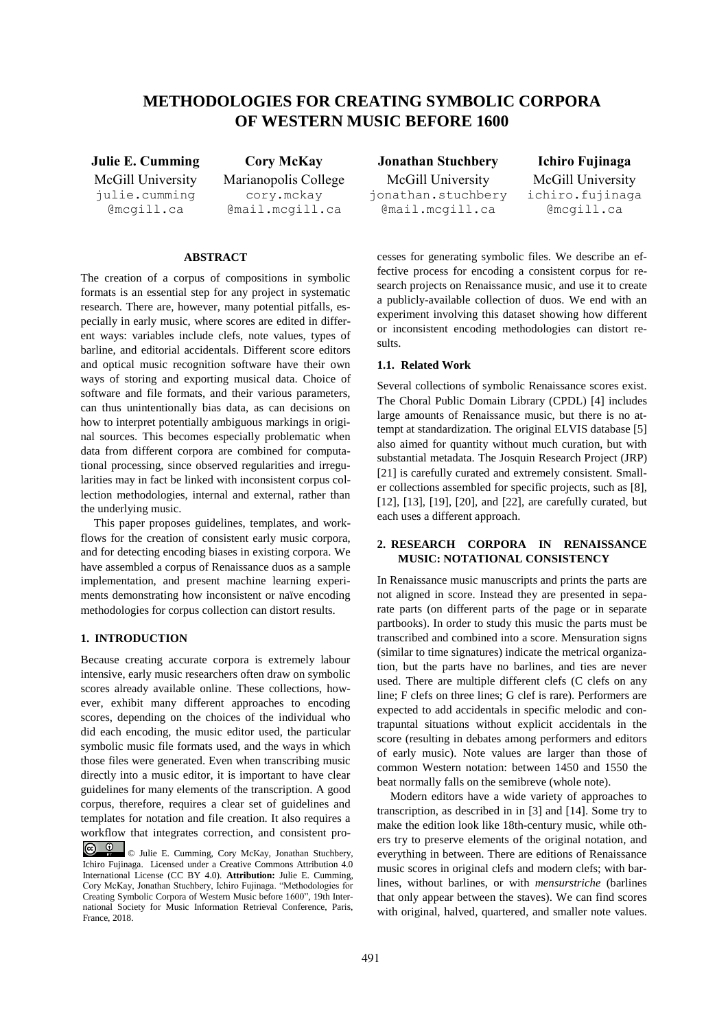# **METHODOLOGIES FOR CREATING SYMBOLIC CORPORA OF WESTERN MUSIC BEFORE 1600**

McGill University julie.cumming @mcgill.ca

Marianopolis College cory.mckay @mail.mcgill.ca

## **ABSTRACT**

The creation of a corpus of compositions in symbolic formats is an essential step for any project in systematic research. There are, however, many potential pitfalls, especially in early music, where scores are edited in different ways: variables include clefs, note values, types of barline, and editorial accidentals. Different score editors and optical music recognition software have their own ways of storing and exporting musical data. Choice of software and file formats, and their various parameters, can thus unintentionally bias data, as can decisions on how to interpret potentially ambiguous markings in original sources. This becomes especially problematic when data from different corpora are combined for computational processing, since observed regularities and irregularities may in fact be linked with inconsistent corpus collection methodologies, internal and external, rather than the underlying music.

This paper proposes guidelines, templates, and workflows for the creation of consistent early music corpora, and for detecting encoding biases in existing corpora. We have assembled a corpus of Renaissance duos as a sample implementation, and present machine learning experiments demonstrating how inconsistent or naïve encoding methodologies for corpus collection can distort results.

# **1. INTRODUCTION**

Because creating accurate corpora is extremely labour intensive, early music researchers often draw on symbolic scores already available online. These collections, however, exhibit many different approaches to encoding scores, depending on the choices of the individual who did each encoding, the music editor used, the particular symbolic music file formats used, and the ways in which those files were generated. Even when transcribing music directly into a music editor, it is important to have clear guidelines for many elements of the transcription. A good corpus, therefore, requires a clear set of guidelines and templates for notation and file creation. It also requires a workflow that integrates correction, and consistent pro-

**Julie E. Cumming Cory McKay Jonathan Stuchbery Ichiro Fujinaga** McGill University jonathan.stuchbery @mail.mcgill.ca

McGill University ichiro.fujinaga @mcgill.ca

cesses for generating symbolic files. We describe an effective process for encoding a consistent corpus for research projects on Renaissance music, and use it to create a publicly-available collection of duos. We end with an experiment involving this dataset showing how different or inconsistent encoding methodologies can distort results.

#### **1.1. Related Work**

Several collections of symbolic Renaissance scores exist. The Choral Public Domain Library (CPDL) [4] includes large amounts of Renaissance music, but there is no attempt at standardization. The original ELVIS database [5] also aimed for quantity without much curation, but with substantial metadata. The Josquin Research Project (JRP) [21] is carefully curated and extremely consistent. Smaller collections assembled for specific projects, such as [8], [12], [13], [19], [20], and [22], are carefully curated, but each uses a different approach.

# **2. RESEARCH CORPORA IN RENAISSANCE MUSIC: NOTATIONAL CONSISTENCY**

In Renaissance music manuscripts and prints the parts are not aligned in score. Instead they are presented in separate parts (on different parts of the page or in separate partbooks). In order to study this music the parts must be transcribed and combined into a score. Mensuration signs (similar to time signatures) indicate the metrical organization, but the parts have no barlines, and ties are never used. There are multiple different clefs (C clefs on any line; F clefs on three lines; G clef is rare). Performers are expected to add accidentals in specific melodic and contrapuntal situations without explicit accidentals in the score (resulting in debates among performers and editors of early music). Note values are larger than those of common Western notation: between 1450 and 1550 the beat normally falls on the semibreve (whole note).

Modern editors have a wide variety of approaches to transcription, as described in in [3] and [14]. Some try to make the edition look like 18th-century music, while others try to preserve elements of the original notation, and everything in between. There are editions of Renaissance music scores in original clefs and modern clefs; with barlines, without barlines, or with *mensurstriche* (barlines that only appear between the staves). We can find scores with original, halved, quartered, and smaller note values.

 $\odot$   $\odot$ © Julie E. Cumming, Cory McKay, Jonathan Stuchbery, Ichiro Fujinaga. Licensed under a Creative Commons Attribution 4.0 International License (CC BY 4.0). **Attribution:** Julie E. Cumming, Cory McKay, Jonathan Stuchbery, Ichiro Fujinaga. "Methodologies for Creating Symbolic Corpora of Western Music before 1600", 19th International Society for Music Information Retrieval Conference, Paris, France, 2018.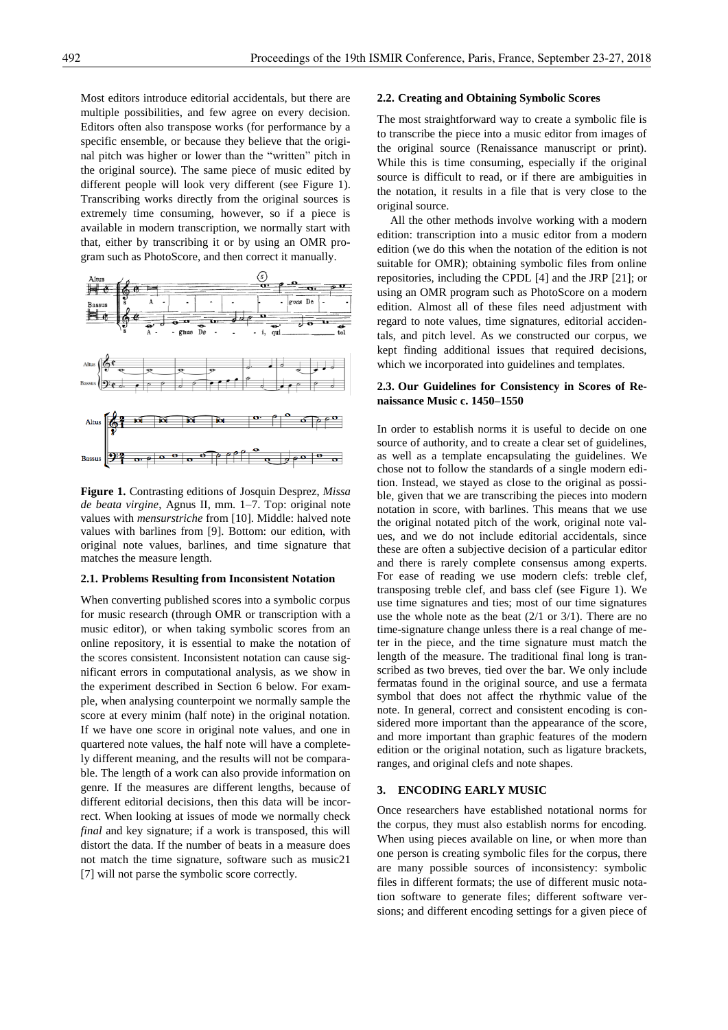Most editors introduce editorial accidentals, but there are multiple possibilities, and few agree on every decision. Editors often also transpose works (for performance by a specific ensemble, or because they believe that the original pitch was higher or lower than the "written" pitch in the original source). The same piece of music edited by different people will look very different (see Figure 1). Transcribing works directly from the original sources is extremely time consuming, however, so if a piece is available in modern transcription, we normally start with that, either by transcribing it or by using an OMR program such as PhotoScore, and then correct it manually.



**Figure 1.** Contrasting editions of Josquin Desprez, *Missa de beata virgine*, Agnus II, mm. 1–7. Top: original note values with *mensurstriche* from [10]. Middle: halved note values with barlines from [9]. Bottom: our edition, with original note values, barlines, and time signature that matches the measure length.

#### **2.1. Problems Resulting from Inconsistent Notation**

When converting published scores into a symbolic corpus for music research (through OMR or transcription with a music editor), or when taking symbolic scores from an online repository, it is essential to make the notation of the scores consistent. Inconsistent notation can cause significant errors in computational analysis, as we show in the experiment described in Section 6 below. For example, when analysing counterpoint we normally sample the score at every minim (half note) in the original notation. If we have one score in original note values, and one in quartered note values, the half note will have a completely different meaning, and the results will not be comparable. The length of a work can also provide information on genre. If the measures are different lengths, because of different editorial decisions, then this data will be incorrect. When looking at issues of mode we normally check *final* and key signature; if a work is transposed, this will distort the data. If the number of beats in a measure does not match the time signature, software such as music21 [7] will not parse the symbolic score correctly.

#### **2.2. Creating and Obtaining Symbolic Scores**

The most straightforward way to create a symbolic file is to transcribe the piece into a music editor from images of the original source (Renaissance manuscript or print). While this is time consuming, especially if the original source is difficult to read, or if there are ambiguities in the notation, it results in a file that is very close to the original source.

All the other methods involve working with a modern edition: transcription into a music editor from a modern edition (we do this when the notation of the edition is not suitable for OMR); obtaining symbolic files from online repositories, including the CPDL [4] and the JRP [21]; or using an OMR program such as PhotoScore on a modern edition. Almost all of these files need adjustment with regard to note values, time signatures, editorial accidentals, and pitch level. As we constructed our corpus, we kept finding additional issues that required decisions, which we incorporated into guidelines and templates.

#### **2.3. Our Guidelines for Consistency in Scores of Renaissance Music c. 1450–1550**

In order to establish norms it is useful to decide on one source of authority, and to create a clear set of guidelines, as well as a template encapsulating the guidelines. We chose not to follow the standards of a single modern edition. Instead, we stayed as close to the original as possible, given that we are transcribing the pieces into modern notation in score, with barlines. This means that we use the original notated pitch of the work, original note values, and we do not include editorial accidentals, since these are often a subjective decision of a particular editor and there is rarely complete consensus among experts. For ease of reading we use modern clefs: treble clef, transposing treble clef, and bass clef (see Figure 1). We use time signatures and ties; most of our time signatures use the whole note as the beat (2/1 or 3/1). There are no time-signature change unless there is a real change of meter in the piece, and the time signature must match the length of the measure. The traditional final long is transcribed as two breves, tied over the bar. We only include fermatas found in the original source, and use a fermata symbol that does not affect the rhythmic value of the note. In general, correct and consistent encoding is considered more important than the appearance of the score, and more important than graphic features of the modern edition or the original notation, such as ligature brackets, ranges, and original clefs and note shapes.

## **3. ENCODING EARLY MUSIC**

Once researchers have established notational norms for the corpus, they must also establish norms for encoding. When using pieces available on line, or when more than one person is creating symbolic files for the corpus, there are many possible sources of inconsistency: symbolic files in different formats; the use of different music notation software to generate files; different software versions; and different encoding settings for a given piece of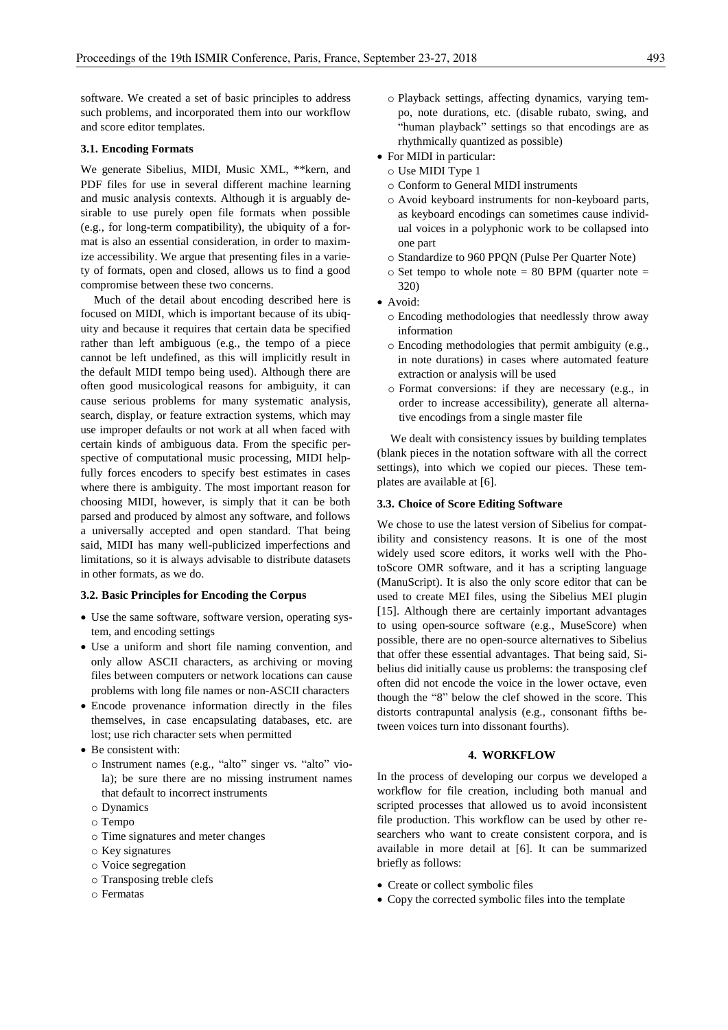software. We created a set of basic principles to address such problems, and incorporated them into our workflow and score editor templates.

#### **3.1. Encoding Formats**

We generate Sibelius, MIDI, Music XML, \*\*kern, and PDF files for use in several different machine learning and music analysis contexts. Although it is arguably desirable to use purely open file formats when possible (e.g., for long-term compatibility), the ubiquity of a format is also an essential consideration, in order to maximize accessibility. We argue that presenting files in a variety of formats, open and closed, allows us to find a good compromise between these two concerns.

Much of the detail about encoding described here is focused on MIDI, which is important because of its ubiquity and because it requires that certain data be specified rather than left ambiguous (e.g., the tempo of a piece cannot be left undefined, as this will implicitly result in the default MIDI tempo being used). Although there are often good musicological reasons for ambiguity, it can cause serious problems for many systematic analysis, search, display, or feature extraction systems, which may use improper defaults or not work at all when faced with certain kinds of ambiguous data. From the specific perspective of computational music processing, MIDI helpfully forces encoders to specify best estimates in cases where there is ambiguity. The most important reason for choosing MIDI, however, is simply that it can be both parsed and produced by almost any software, and follows a universally accepted and open standard. That being said, MIDI has many well-publicized imperfections and limitations, so it is always advisable to distribute datasets in other formats, as we do.

#### **3.2. Basic Principles for Encoding the Corpus**

- Use the same software, software version, operating system, and encoding settings
- Use a uniform and short file naming convention, and only allow ASCII characters, as archiving or moving files between computers or network locations can cause problems with long file names or non-ASCII characters
- Encode provenance information directly in the files themselves, in case encapsulating databases, etc. are lost; use rich character sets when permitted
- Be consistent with:
	- o Instrument names (e.g., "alto" singer vs. "alto" viola); be sure there are no missing instrument names that default to incorrect instruments
	- o Dynamics
	- o Tempo
	- o Time signatures and meter changes
	- o Key signatures
	- o Voice segregation
	- o Transposing treble clefs
	- o Fermatas
- o Playback settings, affecting dynamics, varying tempo, note durations, etc. (disable rubato, swing, and "human playback" settings so that encodings are as rhythmically quantized as possible)
- For MIDI in particular:
	- o Use MIDI Type 1
	- o Conform to General MIDI instruments
	- o Avoid keyboard instruments for non-keyboard parts, as keyboard encodings can sometimes cause individual voices in a polyphonic work to be collapsed into one part
	- o Standardize to 960 PPQN (Pulse Per Quarter Note)
	- $\circ$  Set tempo to whole note = 80 BPM (quarter note = 320)
- Avoid:
	- o Encoding methodologies that needlessly throw away information
	- o Encoding methodologies that permit ambiguity (e.g., in note durations) in cases where automated feature extraction or analysis will be used
	- o Format conversions: if they are necessary (e.g., in order to increase accessibility), generate all alternative encodings from a single master file

We dealt with consistency issues by building templates (blank pieces in the notation software with all the correct settings), into which we copied our pieces. These templates are available at [6].

#### **3.3. Choice of Score Editing Software**

We chose to use the latest version of Sibelius for compatibility and consistency reasons. It is one of the most widely used score editors, it works well with the PhotoScore OMR software, and it has a scripting language (ManuScript). It is also the only score editor that can be used to create MEI files, using the Sibelius MEI plugin [15]. Although there are certainly important advantages to using open-source software (e.g., MuseScore) when possible, there are no open-source alternatives to Sibelius that offer these essential advantages. That being said, Sibelius did initially cause us problems: the transposing clef often did not encode the voice in the lower octave, even though the "8" below the clef showed in the score. This distorts contrapuntal analysis (e.g., consonant fifths between voices turn into dissonant fourths).

## **4. WORKFLOW**

In the process of developing our corpus we developed a workflow for file creation, including both manual and scripted processes that allowed us to avoid inconsistent file production. This workflow can be used by other researchers who want to create consistent corpora, and is available in more detail at [6]. It can be summarized briefly as follows:

- Create or collect symbolic files
- Copy the corrected symbolic files into the template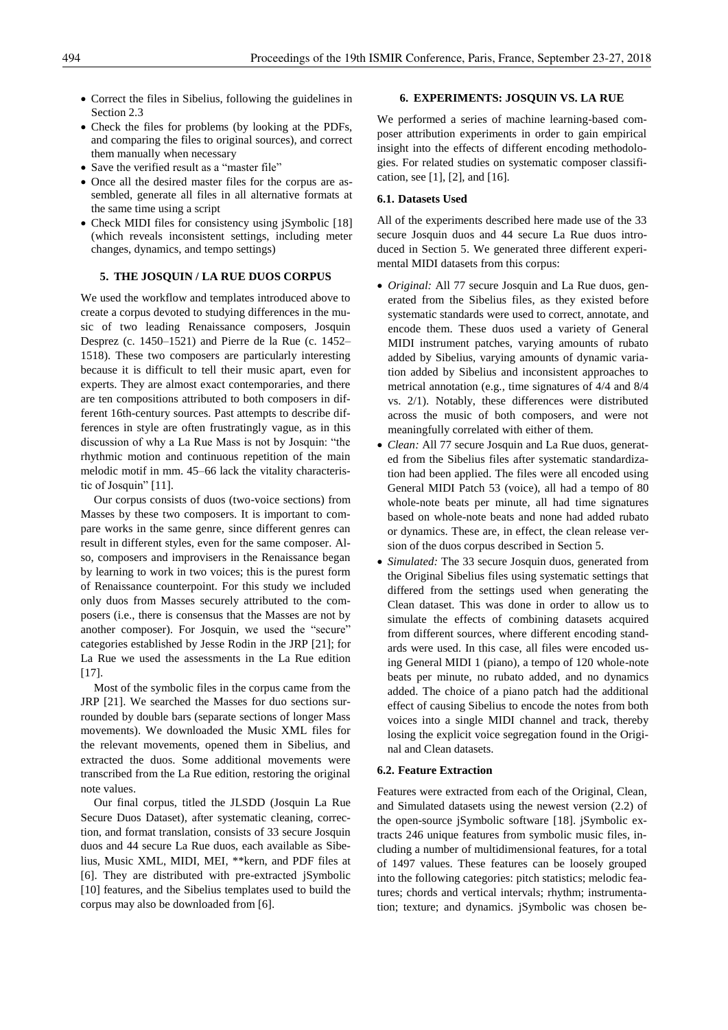- Correct the files in Sibelius, following the guidelines in Section 2.3
- Check the files for problems (by looking at the PDFs, and comparing the files to original sources), and correct them manually when necessary
- Save the verified result as a "master file"
- Once all the desired master files for the corpus are assembled, generate all files in all alternative formats at the same time using a script
- Check MIDI files for consistency using *jSymbolic* [18] (which reveals inconsistent settings, including meter changes, dynamics, and tempo settings)

#### **5. THE JOSQUIN / LA RUE DUOS CORPUS**

We used the workflow and templates introduced above to create a corpus devoted to studying differences in the music of two leading Renaissance composers, Josquin Desprez (c. 1450–1521) and Pierre de la Rue (c. 1452– 1518). These two composers are particularly interesting because it is difficult to tell their music apart, even for experts. They are almost exact contemporaries, and there are ten compositions attributed to both composers in different 16th-century sources. Past attempts to describe differences in style are often frustratingly vague, as in this discussion of why a La Rue Mass is not by Josquin: "the rhythmic motion and continuous repetition of the main melodic motif in mm. 45–66 lack the vitality characteristic of Josquin" [11].

Our corpus consists of duos (two-voice sections) from Masses by these two composers. It is important to compare works in the same genre, since different genres can result in different styles, even for the same composer. Also, composers and improvisers in the Renaissance began by learning to work in two voices; this is the purest form of Renaissance counterpoint. For this study we included only duos from Masses securely attributed to the composers (i.e., there is consensus that the Masses are not by another composer). For Josquin, we used the "secure" categories established by Jesse Rodin in the JRP [21]; for La Rue we used the assessments in the La Rue edition [17].

Most of the symbolic files in the corpus came from the JRP [21]. We searched the Masses for duo sections surrounded by double bars (separate sections of longer Mass movements). We downloaded the Music XML files for the relevant movements, opened them in Sibelius, and extracted the duos. Some additional movements were transcribed from the La Rue edition, restoring the original note values.

Our final corpus, titled the JLSDD (Josquin La Rue Secure Duos Dataset), after systematic cleaning, correction, and format translation, consists of 33 secure Josquin duos and 44 secure La Rue duos, each available as Sibelius, Music XML, MIDI, MEI, \*\*kern, and PDF files at [6]. They are distributed with pre-extracted jSymbolic [10] features, and the Sibelius templates used to build the corpus may also be downloaded from [6].

#### **6. EXPERIMENTS: JOSQUIN VS. LA RUE**

We performed a series of machine learning-based composer attribution experiments in order to gain empirical insight into the effects of different encoding methodologies. For related studies on systematic composer classification, see [1], [2], and [16].

#### **6.1. Datasets Used**

All of the experiments described here made use of the 33 secure Josquin duos and 44 secure La Rue duos introduced in Section 5. We generated three different experimental MIDI datasets from this corpus:

- *Original:* All 77 secure Josquin and La Rue duos, generated from the Sibelius files, as they existed before systematic standards were used to correct, annotate, and encode them. These duos used a variety of General MIDI instrument patches, varying amounts of rubato added by Sibelius, varying amounts of dynamic variation added by Sibelius and inconsistent approaches to metrical annotation (e.g., time signatures of 4/4 and 8/4 vs. 2/1). Notably, these differences were distributed across the music of both composers, and were not meaningfully correlated with either of them.
- *Clean:* All 77 secure Josquin and La Rue duos, generated from the Sibelius files after systematic standardization had been applied. The files were all encoded using General MIDI Patch 53 (voice), all had a tempo of 80 whole-note beats per minute, all had time signatures based on whole-note beats and none had added rubato or dynamics. These are, in effect, the clean release version of the duos corpus described in Section 5.
- *Simulated:* The 33 secure Josquin duos, generated from the Original Sibelius files using systematic settings that differed from the settings used when generating the Clean dataset. This was done in order to allow us to simulate the effects of combining datasets acquired from different sources, where different encoding standards were used. In this case, all files were encoded using General MIDI 1 (piano), a tempo of 120 whole-note beats per minute, no rubato added, and no dynamics added. The choice of a piano patch had the additional effect of causing Sibelius to encode the notes from both voices into a single MIDI channel and track, thereby losing the explicit voice segregation found in the Original and Clean datasets.

#### **6.2. Feature Extraction**

Features were extracted from each of the Original, Clean, and Simulated datasets using the newest version (2.2) of the open-source jSymbolic software [18]. jSymbolic extracts 246 unique features from symbolic music files, including a number of multidimensional features, for a total of 1497 values. These features can be loosely grouped into the following categories: pitch statistics; melodic features; chords and vertical intervals; rhythm; instrumentation; texture; and dynamics. jSymbolic was chosen be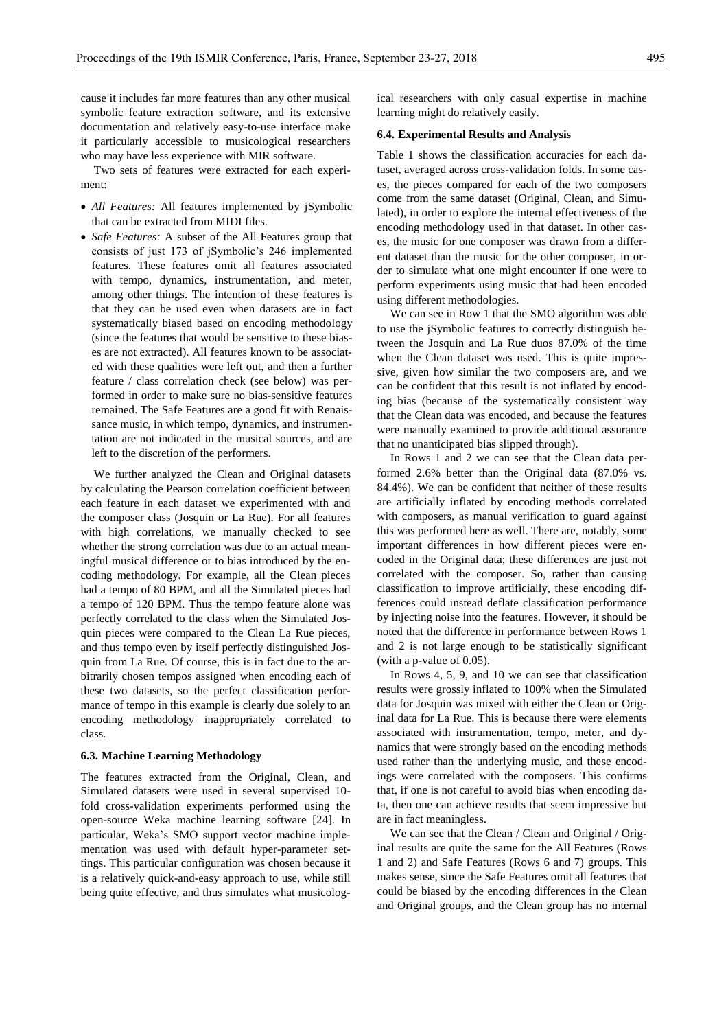cause it includes far more features than any other musical symbolic feature extraction software, and its extensive documentation and relatively easy-to-use interface make it particularly accessible to musicological researchers who may have less experience with MIR software.

Two sets of features were extracted for each experiment:

- *All Features:* All features implemented by jSymbolic that can be extracted from MIDI files.
- *Safe Features:* A subset of the All Features group that consists of just 173 of jSymbolic's 246 implemented features. These features omit all features associated with tempo, dynamics, instrumentation, and meter, among other things. The intention of these features is that they can be used even when datasets are in fact systematically biased based on encoding methodology (since the features that would be sensitive to these biases are not extracted). All features known to be associated with these qualities were left out, and then a further feature / class correlation check (see below) was performed in order to make sure no bias-sensitive features remained. The Safe Features are a good fit with Renaissance music, in which tempo, dynamics, and instrumentation are not indicated in the musical sources, and are left to the discretion of the performers.

We further analyzed the Clean and Original datasets by calculating the Pearson correlation coefficient between each feature in each dataset we experimented with and the composer class (Josquin or La Rue). For all features with high correlations, we manually checked to see whether the strong correlation was due to an actual meaningful musical difference or to bias introduced by the encoding methodology. For example, all the Clean pieces had a tempo of 80 BPM, and all the Simulated pieces had a tempo of 120 BPM. Thus the tempo feature alone was perfectly correlated to the class when the Simulated Josquin pieces were compared to the Clean La Rue pieces, and thus tempo even by itself perfectly distinguished Josquin from La Rue. Of course, this is in fact due to the arbitrarily chosen tempos assigned when encoding each of these two datasets, so the perfect classification performance of tempo in this example is clearly due solely to an encoding methodology inappropriately correlated to class.

#### **6.3. Machine Learning Methodology**

The features extracted from the Original, Clean, and Simulated datasets were used in several supervised 10 fold cross-validation experiments performed using the open-source Weka machine learning software [24]. In particular, Weka's SMO support vector machine implementation was used with default hyper-parameter settings. This particular configuration was chosen because it is a relatively quick-and-easy approach to use, while still being quite effective, and thus simulates what musicological researchers with only casual expertise in machine learning might do relatively easily.

#### **6.4. Experimental Results and Analysis**

Table 1 shows the classification accuracies for each dataset, averaged across cross-validation folds. In some cases, the pieces compared for each of the two composers come from the same dataset (Original, Clean, and Simulated), in order to explore the internal effectiveness of the encoding methodology used in that dataset. In other cases, the music for one composer was drawn from a different dataset than the music for the other composer, in order to simulate what one might encounter if one were to perform experiments using music that had been encoded using different methodologies.

We can see in Row 1 that the SMO algorithm was able to use the jSymbolic features to correctly distinguish between the Josquin and La Rue duos 87.0% of the time when the Clean dataset was used. This is quite impressive, given how similar the two composers are, and we can be confident that this result is not inflated by encoding bias (because of the systematically consistent way that the Clean data was encoded, and because the features were manually examined to provide additional assurance that no unanticipated bias slipped through).

In Rows 1 and 2 we can see that the Clean data performed 2.6% better than the Original data (87.0% vs. 84.4%). We can be confident that neither of these results are artificially inflated by encoding methods correlated with composers, as manual verification to guard against this was performed here as well. There are, notably, some important differences in how different pieces were encoded in the Original data; these differences are just not correlated with the composer. So, rather than causing classification to improve artificially, these encoding differences could instead deflate classification performance by injecting noise into the features. However, it should be noted that the difference in performance between Rows 1 and 2 is not large enough to be statistically significant (with a p-value of 0.05).

In Rows 4, 5, 9, and 10 we can see that classification results were grossly inflated to 100% when the Simulated data for Josquin was mixed with either the Clean or Original data for La Rue. This is because there were elements associated with instrumentation, tempo, meter, and dynamics that were strongly based on the encoding methods used rather than the underlying music, and these encodings were correlated with the composers. This confirms that, if one is not careful to avoid bias when encoding data, then one can achieve results that seem impressive but are in fact meaningless.

We can see that the Clean / Clean and Original / Original results are quite the same for the All Features (Rows 1 and 2) and Safe Features (Rows 6 and 7) groups. This makes sense, since the Safe Features omit all features that could be biased by the encoding differences in the Clean and Original groups, and the Clean group has no internal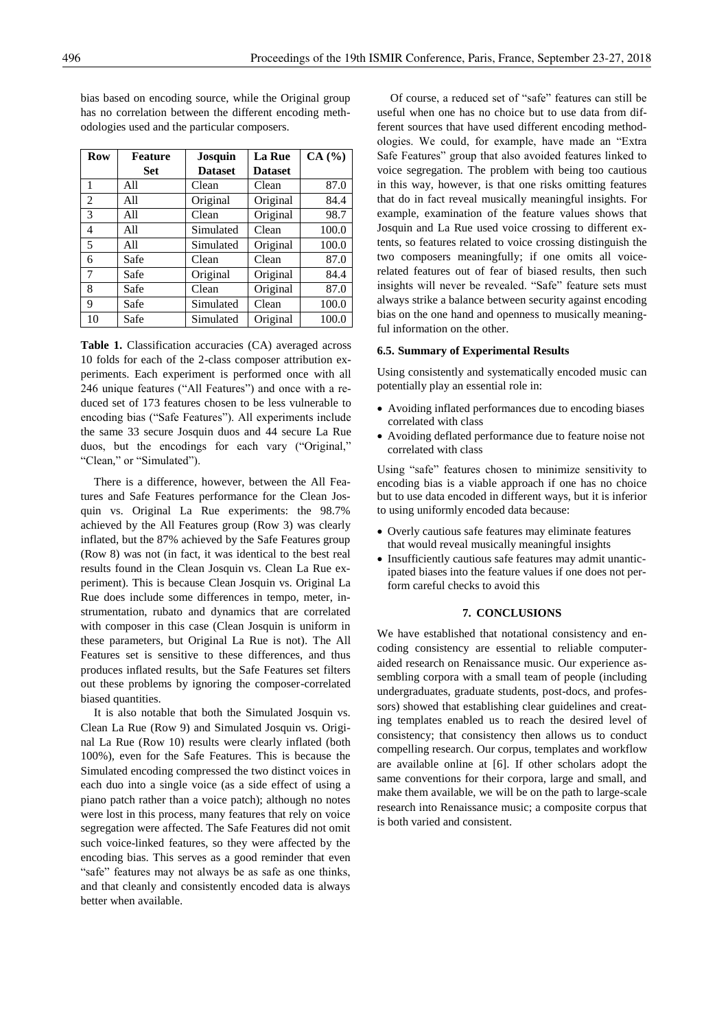| <b>Row</b>     | <b>Feature</b> | Josquin        | <b>La Rue</b>  | CA(%) |
|----------------|----------------|----------------|----------------|-------|
|                | <b>Set</b>     | <b>Dataset</b> | <b>Dataset</b> |       |
| 1              | All            | Clean          | Clean          | 87.0  |
| $\overline{c}$ | All            | Original       | Original       | 84.4  |
| 3              | All            | Clean          | Original       | 98.7  |
| 4              | All            | Simulated      | Clean          | 100.0 |
| 5              | All            | Simulated      | Original       | 100.0 |
| 6              | Safe           | Clean          | Clean          | 87.0  |
| 7              | Safe           | Original       | Original       | 84.4  |
| 8              | Safe           | Clean          | Original       | 87.0  |
| 9              | Safe           | Simulated      | Clean          | 100.0 |
| 10             | Safe           | Simulated      | Original       | 100.0 |

bias based on encoding source, while the Original group has no correlation between the different encoding methodologies used and the particular composers.

**Table 1.** Classification accuracies (CA) averaged across 10 folds for each of the 2-class composer attribution experiments. Each experiment is performed once with all 246 unique features ("All Features") and once with a reduced set of 173 features chosen to be less vulnerable to encoding bias ("Safe Features"). All experiments include the same 33 secure Josquin duos and 44 secure La Rue duos, but the encodings for each vary ("Original," "Clean," or "Simulated").

There is a difference, however, between the All Features and Safe Features performance for the Clean Josquin vs. Original La Rue experiments: the 98.7% achieved by the All Features group (Row 3) was clearly inflated, but the 87% achieved by the Safe Features group (Row 8) was not (in fact, it was identical to the best real results found in the Clean Josquin vs. Clean La Rue experiment). This is because Clean Josquin vs. Original La Rue does include some differences in tempo, meter, instrumentation, rubato and dynamics that are correlated with composer in this case (Clean Josquin is uniform in these parameters, but Original La Rue is not). The All Features set is sensitive to these differences, and thus produces inflated results, but the Safe Features set filters out these problems by ignoring the composer-correlated biased quantities.

It is also notable that both the Simulated Josquin vs. Clean La Rue (Row 9) and Simulated Josquin vs. Original La Rue (Row 10) results were clearly inflated (both 100%), even for the Safe Features. This is because the Simulated encoding compressed the two distinct voices in each duo into a single voice (as a side effect of using a piano patch rather than a voice patch); although no notes were lost in this process, many features that rely on voice segregation were affected. The Safe Features did not omit such voice-linked features, so they were affected by the encoding bias. This serves as a good reminder that even "safe" features may not always be as safe as one thinks, and that cleanly and consistently encoded data is always better when available.

Of course, a reduced set of "safe" features can still be useful when one has no choice but to use data from different sources that have used different encoding methodologies. We could, for example, have made an "Extra Safe Features" group that also avoided features linked to voice segregation. The problem with being too cautious in this way, however, is that one risks omitting features that do in fact reveal musically meaningful insights. For example, examination of the feature values shows that Josquin and La Rue used voice crossing to different extents, so features related to voice crossing distinguish the two composers meaningfully; if one omits all voicerelated features out of fear of biased results, then such insights will never be revealed. "Safe" feature sets must always strike a balance between security against encoding bias on the one hand and openness to musically meaningful information on the other.

# **6.5. Summary of Experimental Results**

Using consistently and systematically encoded music can potentially play an essential role in:

- Avoiding inflated performances due to encoding biases correlated with class
- Avoiding deflated performance due to feature noise not correlated with class

Using "safe" features chosen to minimize sensitivity to encoding bias is a viable approach if one has no choice but to use data encoded in different ways, but it is inferior to using uniformly encoded data because:

- Overly cautious safe features may eliminate features that would reveal musically meaningful insights
- Insufficiently cautious safe features may admit unanticipated biases into the feature values if one does not perform careful checks to avoid this

# **7. CONCLUSIONS**

We have established that notational consistency and encoding consistency are essential to reliable computeraided research on Renaissance music. Our experience assembling corpora with a small team of people (including undergraduates, graduate students, post-docs, and professors) showed that establishing clear guidelines and creating templates enabled us to reach the desired level of consistency; that consistency then allows us to conduct compelling research. Our corpus, templates and workflow are available online at [6]. If other scholars adopt the same conventions for their corpora, large and small, and make them available, we will be on the path to large-scale research into Renaissance music; a composite corpus that is both varied and consistent.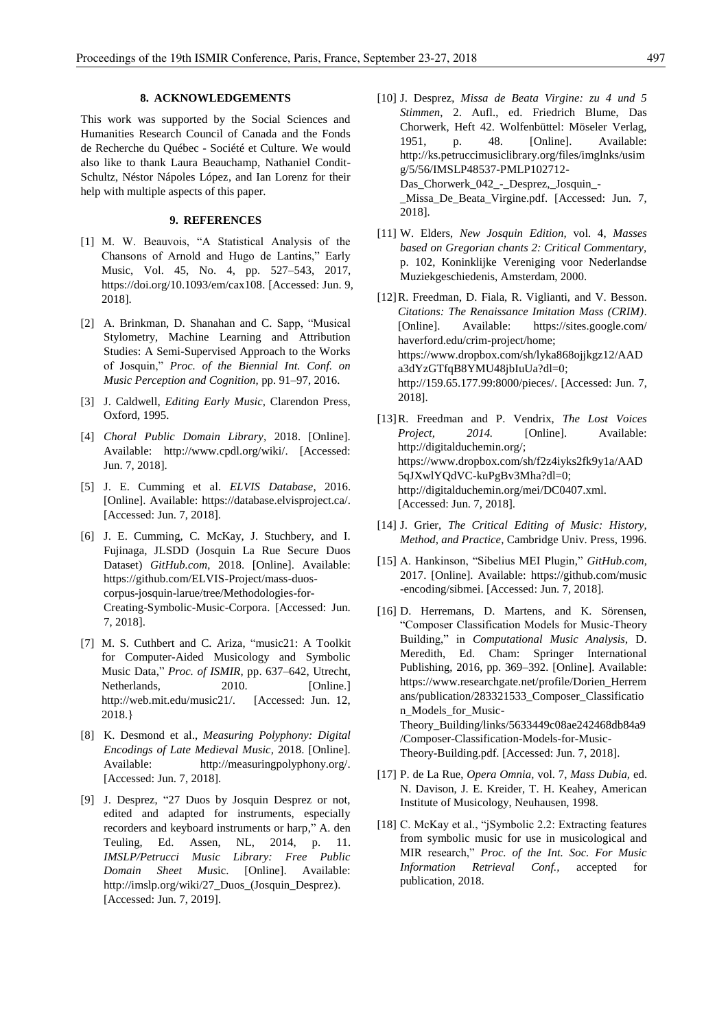# **8. ACKNOWLEDGEMENTS**

This work was supported by the Social Sciences and Humanities Research Council of Canada and the Fonds de Recherche du Québec - Société et Culture. We would also like to thank Laura Beauchamp, Nathaniel Condit-Schultz, Néstor Nápoles López, and Ian Lorenz for their help with multiple aspects of this paper.

# **9. REFERENCES**

- [1] M. W. Beauvois, "A Statistical Analysis of the Chansons of Arnold and Hugo de Lantins," Early Music, Vol. 45, No. 4, pp. 527–543, 2017, https://doi.org/10.1093/em/cax108. [Accessed: Jun. 9, 2018].
- [2] A. Brinkman, D. Shanahan and C. Sapp, "Musical Stylometry, Machine Learning and Attribution Studies: A Semi-Supervised Approach to the Works of Josquin," *Proc. of the Biennial Int. Conf. on Music Perception and Cognition,* pp. 91–97, 2016.
- [3] J. Caldwell, *Editing Early Music,* Clarendon Press, Oxford, 1995.
- [4] *Choral Public Domain Library,* 2018. [Online]. Available: http://www.cpdl.org/wiki/. [Accessed: Jun. 7, 2018].
- [5] J. E. Cumming et al. *ELVIS Database*, 2016. [Online]. Available: https://database.elvisproject.ca/. [Accessed: Jun. 7, 2018].
- [6] J. E. Cumming, C. McKay, J. Stuchbery, and I. Fujinaga, JLSDD (Josquin La Rue Secure Duos Dataset) *GitHub.com*, 2018. [Online]. Available: https://github.com/ELVIS-Project/mass-duoscorpus-josquin-larue/tree/Methodologies-for-Creating-Symbolic-Music-Corpora. [Accessed: Jun. 7, 2018].
- [7] M. S. Cuthbert and C. Ariza, "music21: A Toolkit for Computer-Aided Musicology and Symbolic Music Data," *Proc. of ISMIR,* pp. 637–642, Utrecht, Netherlands, 2010. [Online.] http://web.mit.edu/music21/. [Accessed: Jun. 12, 2018.}
- [8] K. Desmond et al., *Measuring Polyphony: Digital Encodings of Late Medieval Music,* 2018. [Online]. Available: http://measuringpolyphony.org/. [Accessed: Jun. 7, 2018].
- [9] J. Desprez, "27 Duos by Josquin Desprez or not, edited and adapted for instruments, especially recorders and keyboard instruments or harp," A. den Teuling, Ed. Assen, NL, 2014, p. 11. *IMSLP/Petrucci Music Library: Free Public Domain Sheet Mus*ic. [Online]. Available: http://imslp.org/wiki/27\_Duos\_(Josquin\_Desprez). [Accessed: Jun. 7, 2019].
- [10] J. Desprez, *Missa de Beata Virgine: zu 4 und 5 Stimmen*, 2. Aufl., ed. Friedrich Blume, Das Chorwerk, Heft 42. Wolfenbüttel: Möseler Verlag, 1951, p. 48. [Online]. Available: http://ks.petruccimusiclibrary.org/files/imglnks/usim g/5/56/IMSLP48537-PMLP102712- Das\_Chorwerk\_042\_-\_Desprez,\_Josquin\_- \_Missa\_De\_Beata\_Virgine.pdf. [Accessed: Jun. 7, 2018].
- [11] W. Elders, *New Josquin Edition,* vol. 4, *Masses based on Gregorian chants 2: Critical Commentary,* p. 102, Koninklijke Vereniging voor Nederlandse Muziekgeschiedenis, Amsterdam, 2000.
- [12]R. Freedman, D. Fiala, R. Viglianti, and V. Besson. *Citations: The Renaissance Imitation Mass (CRIM)*. [Online]. Available: https://sites.google.com/ haverford.edu/crim-project/home; https://www.dropbox.com/sh/lyka868ojjkgz12/AAD a3dYzGTfqB8YMU48jbIuUa?dl=0; http://159.65.177.99:8000/pieces/. [Accessed: Jun. 7, 2018].
- [13]R. Freedman and P. Vendrix, *The Lost Voices Project, 2014.* [Online]. Available: http://digitalduchemin.org/; https://www.dropbox.com/sh/f2z4iyks2fk9y1a/AAD 5qJXwlYQdVC-kuPgBv3Mha?dl=0; http://digitalduchemin.org/mei/DC0407.xml. [Accessed: Jun. 7, 2018].
- [14] J. Grier, *The Critical Editing of Music: History, Method, and Practice*, Cambridge Univ. Press, 1996.
- [15] A. Hankinson, "Sibelius MEI Plugin," *GitHub.com*, 2017. [Online]. Available: https://github.com/music -encoding/sibmei. [Accessed: Jun. 7, 2018].
- [16] D. Herremans, D. Martens, and K. Sörensen, "Composer Classification Models for Music-Theory Building," in *Computational Music Analysis*, D. Meredith, Ed. Cham: Springer International Publishing, 2016, pp. 369–392. [Online]. Available: https://www.researchgate.net/profile/Dorien\_Herrem ans/publication/283321533\_Composer\_Classificatio n\_Models\_for\_Music-Theory\_Building/links/5633449c08ae242468db84a9 /Composer-Classification-Models-for-Music-Theory-Building.pdf. [Accessed: Jun. 7, 2018].
- [17] P. de La Rue, *Opera Omnia,* vol. 7, *Mass Dubia,* ed. N. Davison, J. E. Kreider, T. H. Keahey, American Institute of Musicology, Neuhausen, 1998.
- [18] C. McKay et al., "jSymbolic 2.2: Extracting features from symbolic music for use in musicological and MIR research," *Proc. of the Int. Soc. For Music Information Retrieval Conf.,* accepted for publication, 2018.